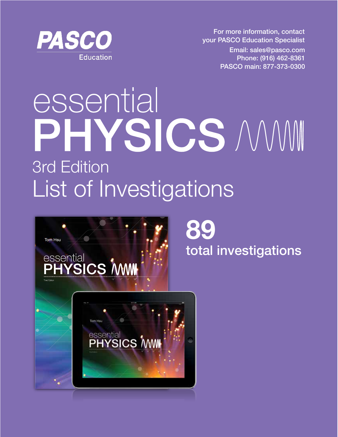

For more information, contact your PASCO Education Specialist

> Email: sales@pasco.com Phone: (916) 462-8361 PASCO main: 877-373-0300

# essential HYSICS / WW 3rd Edition List of Investigations



**89** total investigations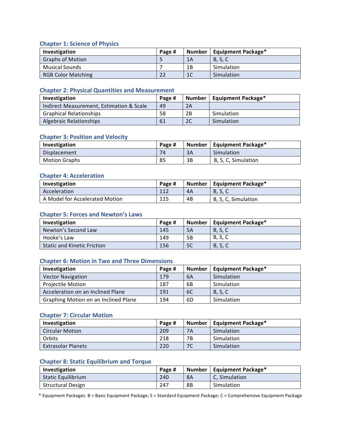#### **Chapter 1: Science of Physics**

| Investigation             | Page # |                | Number   Equipment Package* |
|---------------------------|--------|----------------|-----------------------------|
| <b>Graphs of Motion</b>   |        | 1A             | <b>B.S.C</b>                |
| <b>Musical Sounds</b>     |        | 1B             | Simulation                  |
| <b>RGB Color Matching</b> | 22     | 1 <sup>C</sup> | Simulation                  |

#### **Chapter 2: Physical Quantities and Measurement**

| Investigation                            | Page # | Number | <b>Equipment Package*</b> |
|------------------------------------------|--------|--------|---------------------------|
| Indirect Measurement, Estimation & Scale | 49     | 2A     |                           |
| <b>Graphical Relationships</b>           | 58     | 2B     | Simulation                |
| <b>Algebraic Relationships</b>           | 61     | 2C     | Simulation                |

#### **Chapter 3: Position and Velocity**

| Investigation        | Page # | <b>Number</b> | <b>Equipment Package*</b> |
|----------------------|--------|---------------|---------------------------|
| Displacement         | 74     | 3A            | Simulation                |
| <b>Motion Graphs</b> | 85     | 3B            | B, S, C, Simulation       |

#### **Chapter 4: Acceleration**

| Investigation                  | Page # |    | Number   Equipment Package* |
|--------------------------------|--------|----|-----------------------------|
| Acceleration                   | 112    | 4A | B, S, C                     |
| A Model for Accelerated Motion | 115    | 4B | B, S, C, Simulation         |

#### **Chapter 5: Forces and Newton's Laws**

| Investigation                      | Page # | Number        | $\blacksquare$ Equipment Package* |
|------------------------------------|--------|---------------|-----------------------------------|
| Newton's Second Law                | 145    | 5A            | <b>B, S, C</b>                    |
| Hooke's Law                        | 149    | 5B            | B, S, C                           |
| <b>Static and Kinetic Friction</b> | 156    | <sub>5C</sub> | <b>B, S, C</b>                    |

#### **Chapter 6: Motion in Two and Three Dimensions**

| Investigation                        | Page # | <b>Number</b> | <b>Equipment Package*</b> |
|--------------------------------------|--------|---------------|---------------------------|
| <b>Vector Navigation</b>             | 179    | 6A            | Simulation                |
| <b>Projectile Motion</b>             | 187    | 6B            | Simulation                |
| Acceleration on an Inclined Plane    | 191    | 6C            | B, S, C                   |
| Graphing Motion on an Inclined Plane | 194    | 6D            | Simulation                |

#### **Chapter 7: Circular Motion**

| Investigation             | Page # | Number | <b>Equipment Package*</b> |
|---------------------------|--------|--------|---------------------------|
| <b>Circular Motion</b>    | 209    | 7A     | Simulation                |
| Orbits                    | 218    | 7Β     | Simulation                |
| <b>Extrasolar Planets</b> | 220    | 7C     | Simulation                |

#### **Chapter 8: Static Equilibrium and Torque**

| Investigation             | Page # | Number | Equipment Package* |
|---------------------------|--------|--------|--------------------|
| <b>Static Equilibrium</b> | 240    | 8A     | C. Simulation      |
| <b>Structural Design</b>  | 247    | 8B     | Simulation         |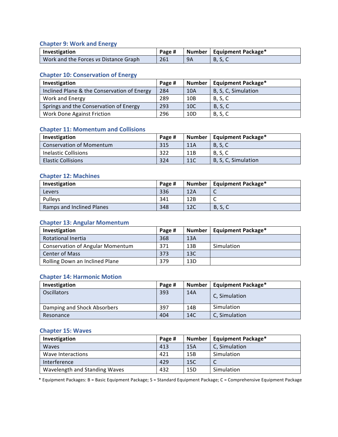# **Chapter 9: Work and Energy**

| Investigation                         | Page # |    | Number   Equipment Package* |
|---------------------------------------|--------|----|-----------------------------|
| Work and the Forces vs Distance Graph | 261    | 9A | B, S, C                     |

# **Chapter 10: Conservation of Energy**

| Investigation                               | Page # | Number          | <b>Equipment Package*</b> |
|---------------------------------------------|--------|-----------------|---------------------------|
| Inclined Plane & the Conservation of Energy | 284    | 10A             | B, S, C, Simulation       |
| Work and Energy                             | 289    | 10B             | B, S, C                   |
| Springs and the Conservation of Energy      | 293    | 10 <sup>C</sup> | <b>B, S, C</b>            |
| <b>Work Done Against Friction</b>           | 296    | 10 <sub>D</sub> | <b>B, S, C</b>            |

# **Chapter 11: Momentum and Collisions**

| Investigation                   | Page # | Number | Equipment Package*  |
|---------------------------------|--------|--------|---------------------|
| <b>Conservation of Momentum</b> | 315    | 11A    | <b>B, S, C</b>      |
| Inelastic Collisions            | 322    | 11B    | <b>B.S.C</b>        |
| <b>Elastic Collisions</b>       | 324    | 11C    | B, S, C, Simulation |

#### **Chapter 12: Machines**

| Investigation             | Page # | Number | Equipment Package* |
|---------------------------|--------|--------|--------------------|
| Levers                    | 336    | 12A    |                    |
| Pulleys                   | 341    | 12B    |                    |
| Ramps and Inclined Planes | 348    | 12C    | B, S, C            |

# **Chapter 13: Angular Momentum**

| Investigation                           | Page # | Number | Equipment Package* |
|-----------------------------------------|--------|--------|--------------------|
| <b>Rotational Inertia</b>               | 368    | 13A    |                    |
| <b>Conservation of Angular Momentum</b> | 371    | 13B    | Simulation         |
| <b>Center of Mass</b>                   | 373    | 13C    |                    |
| Rolling Down an Inclined Plane          | 379    | 13D    |                    |

# **Chapter 14: Harmonic Motion**

| Investigation               | Page # | <b>Number</b> | <b>Equipment Package*</b> |
|-----------------------------|--------|---------------|---------------------------|
| <b>Oscillators</b>          | 393    | 14A           | C, Simulation             |
| Damping and Shock Absorbers | 397    | 14B           | Simulation                |
| Resonance                   | 404    | 14C           | C, Simulation             |

#### **Chapter 15: Waves**

| Investigation                 | Page # | <b>Number</b> | <b>Equipment Package*</b> |
|-------------------------------|--------|---------------|---------------------------|
| <b>Waves</b>                  | 413    | 15A           | C, Simulation             |
| Wave Interactions             | 421    | 15B           | Simulation                |
| Interference                  | 429    | 15C           |                           |
| Wavelength and Standing Waves | 432    | 15D           | Simulation                |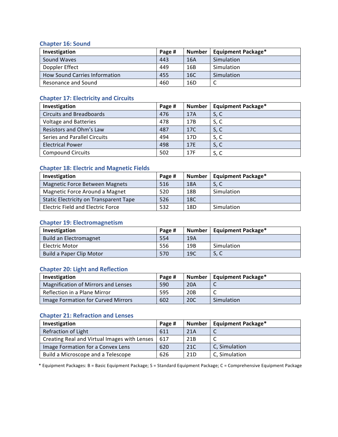#### **Chapter 16: Sound**

| Investigation                 | Page # | Number | <b>Equipment Package*</b> |
|-------------------------------|--------|--------|---------------------------|
| Sound Waves                   | 443    | 16A    | Simulation                |
| Doppler Effect                | 449    | 16B    | Simulation                |
| How Sound Carries Information | 455    | 16C    | Simulation                |
| Resonance and Sound           | 460    | 16D    |                           |

# **Chapter 17: Electricity and Circuits**

| Investigation                   | Page # | <b>Number</b>   | <b>Equipment Package*</b> |
|---------------------------------|--------|-----------------|---------------------------|
| <b>Circuits and Breadboards</b> | 476    | 17A             | S, C                      |
| <b>Voltage and Batteries</b>    | 478    | 17B             | S, C                      |
| Resistors and Ohm's Law         | 487    | 17C             | S, C                      |
| Series and Parallel Circuits    | 494    | 17 <sub>D</sub> | S, C                      |
| <b>Electrical Power</b>         | 498    | 17E             | S, C                      |
| <b>Compound Circuits</b>        | 502    | 17F             | S, C                      |

# **Chapter 18: Electric and Magnetic Fields**

| Investigation                            | Page # | <b>Number</b>   | <b>Equipment Package*</b> |
|------------------------------------------|--------|-----------------|---------------------------|
| Magnetic Force Between Magnets           | 516    | 18A             | S, C                      |
| Magnetic Force Around a Magnet           | 520    | 18B             | Simulation                |
| Static Electricity on Transparent Tape   | 526    | 18C             |                           |
| <b>Electric Field and Electric Force</b> | 532    | 18 <sub>D</sub> | Simulation                |

# **Chapter 19: Electromagnetism**

| Investigation                 | Page # | Number | <b>Equipment Package*</b> |
|-------------------------------|--------|--------|---------------------------|
| <b>Build an Electromagnet</b> | 554    | 19A    |                           |
| <b>Electric Motor</b>         | 556    | 19B    | Simulation                |
| Build a Paper Clip Motor      | 570    | 19C    | S, C                      |

# **Chapter 20: Light and Reflection**

| Investigation                       | Page # |                 | Number   Equipment Package* |
|-------------------------------------|--------|-----------------|-----------------------------|
| Magnification of Mirrors and Lenses | 590    | 20A             |                             |
| Reflection in a Plane Mirror        | 595    | 20 <sub>B</sub> |                             |
| Image Formation for Curved Mirrors  | 602    | 20C             | Simulation                  |

# **Chapter 21: Refraction and Lenses**

| Investigation                                | Page # | Number          | Equipment Package* |
|----------------------------------------------|--------|-----------------|--------------------|
| Refraction of Light                          | 611    | 21A             |                    |
| Creating Real and Virtual Images with Lenses | 617    | 21 <sub>B</sub> |                    |
| Image Formation for a Convex Lens            | 620    | 21C             | C, Simulation      |
| Build a Microscope and a Telescope           | 626    | 21 <sub>D</sub> | C, Simulation      |